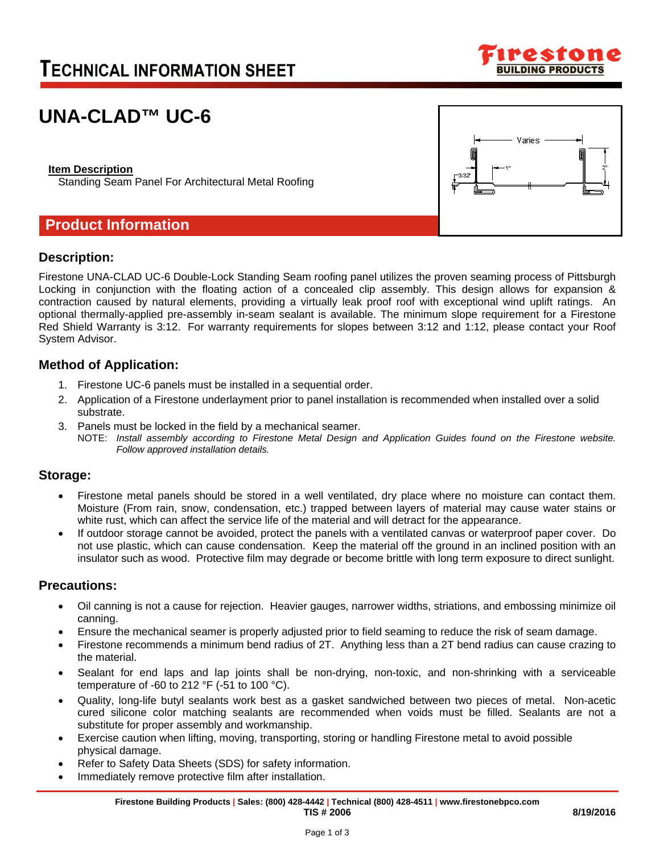# **TECHNICAL INFORMATION SHEET**



# **UNA-CLAD™ UC-6**

### **Item Description**

Standing Seam Panel For Architectural Metal Roofing

## **Product Information**

# Varies

### **Description:**

Firestone UNA-CLAD UC-6 Double-Lock Standing Seam roofing panel utilizes the proven seaming process of Pittsburgh Locking in conjunction with the floating action of a concealed clip assembly. This design allows for expansion & contraction caused by natural elements, providing a virtually leak proof roof with exceptional wind uplift ratings. An optional thermally-applied pre-assembly in-seam sealant is available. The minimum slope requirement for a Firestone Red Shield Warranty is 3:12. For warranty requirements for slopes between 3:12 and 1:12, please contact your Roof System Advisor.

### **Method of Application:**

- 1. Firestone UC-6 panels must be installed in a sequential order.
- 2. Application of a Firestone underlayment prior to panel installation is recommended when installed over a solid substrate.
- 3. Panels must be locked in the field by a mechanical seamer.
	- NOTE: *Install assembly according to Firestone Metal Design and Application Guides found on the Firestone website. Follow approved installation details.*

### **Storage:**

- Firestone metal panels should be stored in a well ventilated, dry place where no moisture can contact them. Moisture (From rain, snow, condensation, etc.) trapped between layers of material may cause water stains or white rust, which can affect the service life of the material and will detract for the appearance.
- If outdoor storage cannot be avoided, protect the panels with a ventilated canvas or waterproof paper cover. Do not use plastic, which can cause condensation. Keep the material off the ground in an inclined position with an insulator such as wood. Protective film may degrade or become brittle with long term exposure to direct sunlight.

### **Precautions:**

- Oil canning is not a cause for rejection. Heavier gauges, narrower widths, striations, and embossing minimize oil canning.
- Ensure the mechanical seamer is properly adjusted prior to field seaming to reduce the risk of seam damage.
- Firestone recommends a minimum bend radius of 2T. Anything less than a 2T bend radius can cause crazing to the material.
- Sealant for end laps and lap joints shall be non-drying, non-toxic, and non-shrinking with a serviceable temperature of -60 to 212  $\degree$ F (-51 to 100  $\degree$ C).
- Quality, long-life butyl sealants work best as a gasket sandwiched between two pieces of metal. Non-acetic cured silicone color matching sealants are recommended when voids must be filled. Sealants are not a substitute for proper assembly and workmanship.
- Exercise caution when lifting, moving, transporting, storing or handling Firestone metal to avoid possible physical damage.
- Refer to Safety Data Sheets (SDS) for safety information.
- Immediately remove protective film after installation.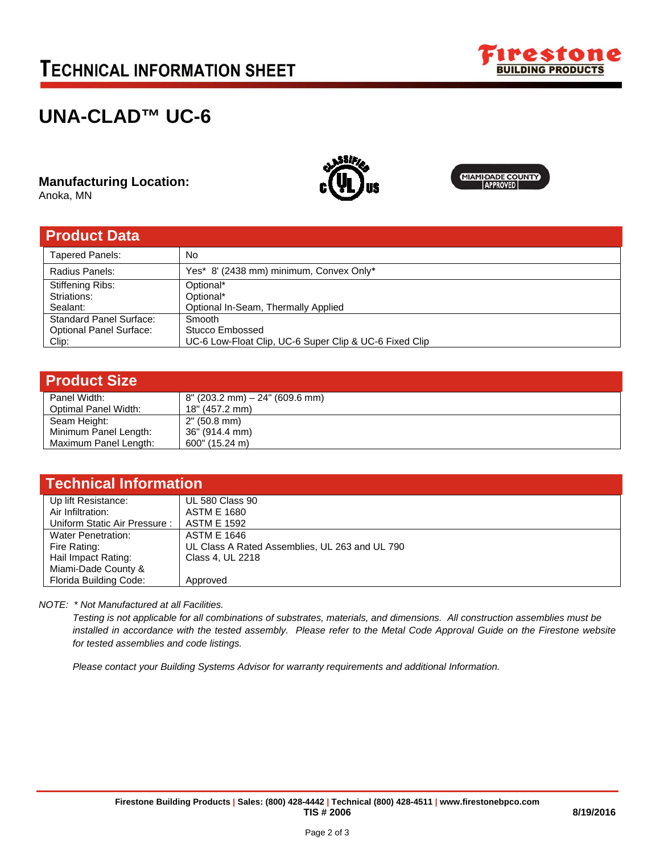# **TECHNICAL INFORMATION SHEET**



# **UNA-CLAD™ UC-6**

**Manufacturing Location:** 

Anoka, MN



| <b>Product Data</b>            |                                                        |
|--------------------------------|--------------------------------------------------------|
| <b>Tapered Panels:</b>         | No                                                     |
| Radius Panels:                 | Yes* 8' (2438 mm) minimum, Convex Only*                |
| <b>Stiffening Ribs:</b>        | Optional*                                              |
| Striations:                    | Optional*                                              |
| Sealant:                       | Optional In-Seam, Thermally Applied                    |
| <b>Standard Panel Surface:</b> | Smooth                                                 |
| <b>Optional Panel Surface:</b> | Stucco Embossed                                        |
| Clip:                          | UC-6 Low-Float Clip, UC-6 Super Clip & UC-6 Fixed Clip |

| <b>Product Size</b>   |                                      |
|-----------------------|--------------------------------------|
| Panel Width:          | $8''$ (203.2 mm) $- 24''$ (609.6 mm) |
| Optimal Panel Width:  | 18" (457.2 mm)                       |
| Seam Height:          | 2" (50.8 mm)                         |
| Minimum Panel Length: | 36" (914.4 mm)                       |
| Maximum Panel Length: | $600$ " (15.24 m)                    |

| <b>Technical Information</b> |                                                |  |  |
|------------------------------|------------------------------------------------|--|--|
| Up lift Resistance:          | <b>UL 580 Class 90</b>                         |  |  |
| Air Infiltration:            | ASTM E 1680                                    |  |  |
| Uniform Static Air Pressure: | <b>ASTM E 1592</b>                             |  |  |
| <b>Water Penetration:</b>    | <b>ASTM E 1646</b>                             |  |  |
| Fire Rating:                 | UL Class A Rated Assemblies, UL 263 and UL 790 |  |  |
| Hail Impact Rating:          | Class 4, UL 2218                               |  |  |
| Miami-Dade County &          |                                                |  |  |
| Florida Building Code:       | Approved                                       |  |  |

*NOTE: \* Not Manufactured at all Facilities.* 

*Testing is not applicable for all combinations of substrates, materials, and dimensions. All construction assemblies must be installed in accordance with the tested assembly. Please refer to the Metal Code Approval Guide on the Firestone website for tested assemblies and code listings.* 

*Please contact your Building Systems Advisor for warranty requirements and additional Information.*